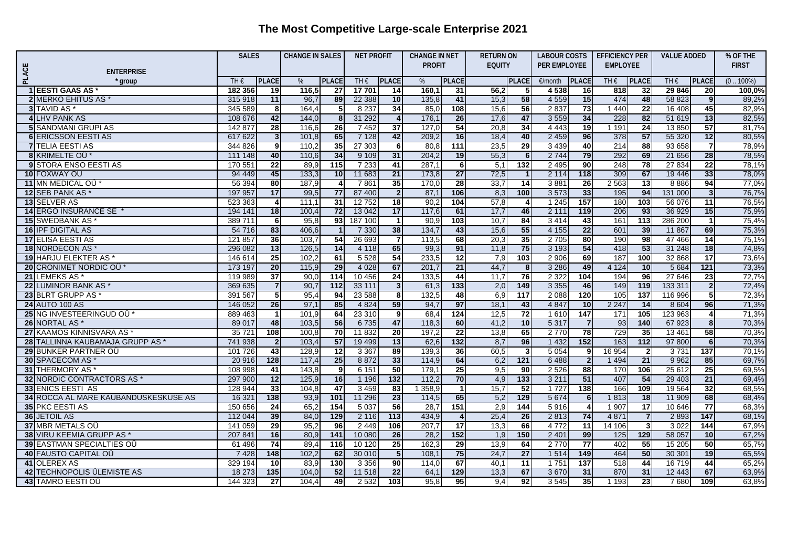## **The Most Competitive Large-scale Enterprise 2021**

|       |                                                          | <b>SALES</b>  |                      | <b>CHANGE IN SALES</b> |                         | <b>NET PROFIT</b> |                 | <b>CHANGE IN NET</b><br><b>PROFIT</b> |                  | <b>RETURN ON</b><br><b>EQUITY</b> |                 | <b>LABOUR COSTS</b><br><b>PER EMPLOYEE</b> |                 | <b>EFFICIENCY PER</b> |                       | <b>VALUE ADDED</b> |                         | % OF THE       |
|-------|----------------------------------------------------------|---------------|----------------------|------------------------|-------------------------|-------------------|-----------------|---------------------------------------|------------------|-----------------------------------|-----------------|--------------------------------------------|-----------------|-----------------------|-----------------------|--------------------|-------------------------|----------------|
|       |                                                          |               |                      |                        |                         |                   |                 |                                       |                  |                                   |                 |                                            |                 | <b>EMPLOYEE</b>       |                       |                    |                         | <b>FIRST</b>   |
| PLACE | <b>ENTERPRISE</b>                                        |               |                      |                        |                         |                   |                 |                                       |                  |                                   |                 |                                            |                 |                       |                       |                    |                         |                |
|       | group                                                    | TH $\epsilon$ | <b>PLACE</b>         | %                      | <b>PLACE</b>            | TH $\epsilon$     | <b>PLACE</b>    | %                                     | <b>PLACE</b>     |                                   | <b>PLACE</b>    | €/month                                    | <b>PLACE</b>    | TH $\epsilon$         | PLACE                 | TH $\epsilon$      | <b>PLACE</b>            | $(0.100\%)$    |
|       | <b>1 EESTI GAAS AS</b>                                   | 182 356       | 19                   | 116.5                  | 27                      | 17 701            | 14              | 160,1                                 | 31               | 56,2                              | 51              | 4538                                       | 16              | 818                   | 32                    | 29 846             | 20                      | 100,0%         |
|       | <b>2IMERKO EHITUS AS *</b><br>3 TAVID AS                 | 315 918       | 11                   | 96,7<br>164,4          | 89                      | 22 388<br>8 2 3 7 | 10              | 135,8                                 | 41<br>108        | 15,3<br>15,6                      | 58<br>56        | 4 5 5 9<br>2 8 3 7                         | 15<br>73        | 474<br>1440           | 48<br>$\overline{22}$ | 58 823<br>16 408   | 9                       | 89,2%<br>82,9% |
|       | 4 LHV PANK AS                                            | 345 589       | 8                    |                        | 5                       |                   | 34              | 85,0<br>176,7                         | 26               |                                   |                 |                                            | 34              | 228                   | 82                    |                    | 45                      | 82,5%          |
|       |                                                          | 108 676       | 42                   | 144,0                  | 8 <sup>1</sup>          | 31 29 2           | $\overline{4}$  |                                       |                  | 17,6                              | 47              | 3 5 5 9                                    |                 |                       | $\overline{24}$       | 51 619             | 13                      |                |
|       | <b>5 SANDMANI GRUPI AS</b><br><b>6 ERICSSON EESTI AS</b> | 142 877       | 28                   | 116,6<br>101,8         | $\overline{26}$<br>65   | 7452<br>7 1 2 8   | 37<br>42        | 127.0<br>209,2                        | 54<br>16         | 20,8<br>18,4                      | 34<br>40        | 4 4 4 3<br>2 4 5 9                         | 19<br>96        | 1 1 9 1<br>378        | 57                    | 13850<br>55 320    | 57<br>12                | 81,7%<br>80,5% |
|       |                                                          | 617 622       | 3 <sup>1</sup><br>9l | 110.2                  | 35                      |                   |                 |                                       | $\overline{111}$ |                                   |                 |                                            |                 |                       | 88                    | 93 658             |                         |                |
|       | <b>7ITELIA EESTI AS</b><br>8 KRIMELTE OÜ*                | 344 826       |                      | 110,6                  | 34                      | 27 303<br>9 1 0 9 | 6<br>31         | 80,8<br>204,2                         | 19               | 23,5<br>55,3                      | 29<br>6         | 3 4 3 9<br>2 7 4 4                         | 40<br>79        | 214<br>292            | 69                    | 21 656             | $\overline{7}$<br>28    | 78,9%<br>78,5% |
|       |                                                          | 111 148       | 40                   |                        |                         |                   |                 |                                       |                  |                                   |                 |                                            |                 |                       |                       |                    |                         |                |
|       | <b>9 STORA ENSO EESTI AS</b>                             | 170 551       | 22                   | 89.9                   | 115                     | 7 2 3 3           | 41              | 287.7                                 | 6 <sup>1</sup>   | 5,1                               | 132             | 2 4 9 5                                    | 90              | 248                   | 78                    | 27 834             | $\overline{22}$         | 78.1%          |
|       | 10 FOXWAY OU                                             | 94 449        | 45                   | 133,3                  | 10                      | 11 683            | $\overline{21}$ | 173,8                                 | $\overline{27}$  | 72,5                              | $\overline{1}$  | 2 1 1 4                                    | 118             | 309                   | 67                    | 19 44 6            | 33                      | 78,0%          |
|       | 11 MN MEDICAL OU*                                        | 56 394        | 80                   | 187,9                  | 4                       | 7861              | 35              | 170.0                                 | 28               | 33,7                              | $\overline{14}$ | 3881                                       | 26              | 2 5 6 3               | $\overline{13}$       | 8886               | 94                      | 77,0%          |
|       | <b>12 SEB PANK AS</b>                                    | 197 957       | 17                   | 99,5                   | 77                      | 87 400            | $\overline{2}$  | 87,1                                  | 106              | 8,3                               | 100             | 3573                                       | 33              | 195                   | 94                    | 131 000            | $\overline{\mathbf{3}}$ | 76,7%          |
|       | <b>13 SELVER AS</b>                                      | 523 363       | 4                    | 111.1                  | $\overline{31}$         | 12752             | 18              | 90,2                                  | 104              | 57.8                              | 4               | 1 2 4 5                                    | 157             | 180                   | 103                   | 56 076             | 11                      | 76,5%          |
|       | 14 ERGO INSURANCE SE *                                   | 194 141       | 18                   | 100,4                  | $\overline{72}$         | 13 042            | 17              | 117.6                                 | 61               | 17.7                              | 46              | 2 1 1 1                                    | 119             | 206                   | 93                    | 36 929             | 15                      | 75,9%          |
|       | <b>15 SWEDBANK AS</b>                                    | 389711        | - 6 I                | 95,8                   | 93                      | 187 100           | $\mathbf 1$     | 90,9                                  | 103              | 10,7                              | 84              | 3414                                       | 43              | 161                   | 113                   | 286 200            | $\mathbf{1}$            | 75,4%          |
|       | <b>16 IPF DIGITAL AS</b>                                 | 54 716        | 83                   | 406,6                  |                         | 7 3 3 0           | 38              | 134,7                                 | 43               | 15,6                              | 55              | 4 1 5 5                                    | 22              | 601                   | 39                    | 11 867             | 69                      | 75,3%          |
|       | <b>17 ELISA EESTI AS</b>                                 | 121 857       | 36                   | 103,7                  | 54                      | 26 693            | $\overline{7}$  | 113,5                                 | 68               | 20,3                              | 35              | 2 7 0 5                                    | 80              | 190                   | 98                    | 47 466             | $\overline{14}$         | 75,1%          |
|       | 18 NORDECON AS *                                         | 296 082       | 13                   | 126,5                  | 14                      | 4 1 1 8           | 65              | 99,3                                  | 91               | 11,8                              | 75              | 3 1 9 3                                    | 54              | 418                   | 53                    | 31 248             | 18                      | 74,8%          |
|       | 19 HARJU ELEKTER AS *                                    | 146 614       | 25                   | 102,2                  | 61                      | 5528              | 54              | 233,5                                 | 12               | 7,9                               | 103             | 2 9 0 6                                    | 69              | 187                   | 100                   | 32 868             | $\overline{17}$         | 73,6%          |
|       | 20 CRONIMET NORDIC OU <sup>*</sup>                       | 173 197       | 20                   | 115,9                  | 29                      | 4 0 28            | 67              | 201,7                                 | 21               | 44,7                              | 8 <sup>1</sup>  | 3 2 8 6                                    | 49              | 4 1 2 4               | 10                    | 5 6 8 4            | $121$                   | 73,3%          |
|       | 21 LEMEKS AS                                             | 119 989       | 37                   | 90,0                   | 114                     | 10 456            | 24              | 133,5                                 | 44               | 11,7                              | 76              | 2 3 2 2                                    | 104             | 194                   | 96                    | 27 646             | 23                      | 72,7%          |
|       | 22 LUMINOR BANK AS                                       | 369 635       |                      | 90,7                   | 112                     | 33 111            | $\mathbf{3}$    | 61,3                                  | $\boxed{133}$    | 2,0                               | 149             | 3 3 5 5                                    | 46              | 149                   | 119                   | 133 311            | $\mathbf{2}$            | 72,4%          |
|       | 23 BLRT GRUPP AS *                                       | 391 567       | -5 I                 | 95,4                   | 94                      | 23 588            | 8               | 132,5                                 | 48               | 6,9                               | 117             | 2 0 8 8                                    | 120             | 105                   | 137                   | 116 996            | 5                       | 72,3%          |
|       | <b>24 AUTO 100 AS</b>                                    | 146 052       | 26                   | 97,1                   | 85                      | 4 8 24            | 59              | 94,7                                  | 97               | 18,1                              | 43              | 4 8 4 7                                    | 10              | 2 2 4 7               | $\overline{14}$       | 8 6 0 4            | 96                      | 71,3%          |
|       | 25 NG INVESTEERINGUD OU                                  | 889 463       | $\mathbf 1$          | 101,9                  | 64                      | 23 310            | 9               | 68,4                                  | 124              | 12,5                              | $\overline{72}$ | 1 6 1 0                                    | 147             | 171                   | 105                   | 123 963            | $\vert$                 | 71,3%          |
|       | 26 NORTAL AS *                                           | 89 017        | 48                   | 103,5                  | 56                      | 6735              | 47              | 118,3                                 | 60               | 41,2                              | 10              | 5 3 1 7                                    | $\overline{7}$  | 93                    | $\frac{140}{ }$       | 67 923             | 8 <sup>1</sup>          | 70,3%          |
|       | 27 KAAMOS KINNISVARA AS                                  | 35 7 21       | 108                  | 100,8                  | 70                      | 11 832            | 20 <sub>l</sub> | 197,2                                 | 22               | 13,8                              | 65              | 2770                                       | 78              | 729                   | 35                    | 13 4 61            | 58                      | 70,3%          |
|       | 28 TALLINNA KAUBAMAJA GRUPP AS *                         | 741 938       | $\overline{2}$       | 103,4                  | 57                      | 19 499            | 13              | 62,6                                  | $132$            | 8,7                               | 96              | 1 4 3 2                                    | 152             | 163                   | 112                   | 97 800             | 6                       | 70,3%          |
|       | 29 BUNKER PARTNER OU                                     | 101 726       | 43                   | 128,9                  | $\overline{12}$         | 3 3 6 7           | 89              | 139,3                                 | 36               | 60,5                              | 3 <sup>1</sup>  | 5 0 5 4                                    | 9 <sub>l</sub>  | 16 954                | $\mathbf{2}$          | 3 7 3 1            | 137                     | 70,1%          |
|       | 30 SPACECOM AS*                                          | 20 916        | 128                  | 117,4                  | 25                      | 8872              | 33              | 114,9                                 | 64               | 6,2                               | $121$           | 6488                                       | $\overline{2}$  | 1 4 9 4               | $\overline{21}$       | 9 9 6 2            | 85                      | 69,7%          |
|       | 31 THERMORY AS*                                          | 108 998       | 41                   | 143,8                  | $\overline{\mathbf{9}}$ | 6 1 5 1           | 50              | 179,7                                 | 25               | 9,5                               | 90 <sub>1</sub> | 2 5 2 6                                    | 88              | 170                   | 106                   | 25 612             | 25                      | 69,5%          |
|       | 32 NORDIC CONTRACTORS AS                                 | 297 900       | 12                   | 125,9                  | 16                      | 1 1 9 6           | 132             | 112,2                                 | 70               | 4,9                               | 133             | 3 2 1 1                                    | 51              | 407                   | 54                    | 29 403             | 21                      | 69,4%          |
|       | <b>33 ENICS EESTI AS</b>                                 | 128 944       | 33                   | 104,8                  | $\overline{47}$         | 3459              | 83              | 1 3 5 8,9                             | $\overline{1}$   | 15,7                              | 52              | 1 7 2 7                                    | 138             | 166                   | 109                   | 19 5 64            | 32                      | 68,5%          |
|       | 34 ROCCA AL MARE KAUBANDUSKESKUSE AS                     | 16 321        | 138                  | 93,9                   | 101                     | 11 29 6           | 23              | 114,5                                 | 65               | 5,2                               | 129             | 5 6 7 4                                    | 6               | 1813                  | 18                    | 11 909             | 68                      | 68,4%          |
|       | 35 PKC EESTI AS                                          | 150 656       | $\overline{24}$      | 65,2                   | 154                     | 5037              | 56              | 28,7                                  | 151              | 2,9                               | 144             | 5916                                       | $\overline{4}$  | 1 907                 | $\overline{17}$       | 10 646             | $\overline{77}$         | 68,3%          |
|       | <b>36 JETOIL AS</b>                                      | 112 044       | 39                   | 84,0                   | 129                     | 2 1 1 6           | 113             | 434.9                                 | $\overline{4}$   | 25,4                              | 26              | 2813                                       | 74              | 4 8 7 1               | $\overline{7}$        | 2893               | 147                     | 68,1%          |
|       | 37 MBR METALS OU                                         | 141 059       | 29                   | 95,2                   | 96                      | 2 4 4 9           | 106             | 207.7                                 | 17               | 13,3                              | 66              | 4 7 7 2                                    | 11              | 14 106                | $\mathbf{3}$          | 3022               | 144                     | 67,9%          |
|       | 38 VIRU KEEMIA GRUPP AS *                                | 207 841       | 16                   | 80,9                   | $\overline{141}$        | 10 080            | 26              | 28,2                                  | 152              | 1,9                               | 150             | 2 4 0 1                                    | 99              | $\frac{125}{25}$      | 129                   | 58 057             | 10                      | 67,2%          |
|       | <b>39 EASTMAN SPECIALTIES OU</b>                         | 61 496        | 74                   | 89,4                   | 116                     | 10 120            | 25              | 162,3                                 | 29               | 13,9                              | 64              | 2 7 7 0                                    | $\overline{77}$ | 402                   | 55                    | 15 205             | 50                      | 65,7%          |
|       | 40 FAUSTO CAPITAL OÜ                                     | 7 4 2 8       | $\frac{148}{148}$    | 102,2                  | 62                      | 30 010            | $5\phantom{.0}$ | 108.7                                 | 75               | 24,7                              | $\overline{27}$ | 1 5 1 4                                    | 149             | 464                   | 50                    | 3030'              | 19                      | 65,5%          |
|       | 41 OLEREX AS                                             | 329 194       | 10 <sup>1</sup>      | 83,9                   | 130                     | 3 3 5 6           | 90              | 114.0                                 | 67               | 40,1                              | 11              | 1 7 5 1                                    | 137             | 518                   | 44                    | 16719              | 44                      | 65,2%          |
|       | 42 TECHNOPOLIS ÜLEMISTE AS                               | 18 273        | $\overline{135}$     | 104,0                  | 52                      | 11 518            | $\overline{22}$ | 64,1                                  | 129              | 13,3                              | 67              | 3670                                       | 31              | 870                   | 31                    | 12 443             | 67                      | 63,9%          |
|       | <b>43 TAMRO EESTI OÜ</b>                                 | 144 323       | $\overline{27}$      | 104,4                  | 49                      | 2 5 3 2           | 103             | 95,8                                  | 95               | 9,4                               | 92              | 3545                                       | 35              | 1 1 9 3               | 23                    | 7680               | 109                     | 63,8%          |
|       |                                                          |               |                      |                        |                         |                   |                 |                                       |                  |                                   |                 |                                            |                 |                       |                       |                    |                         |                |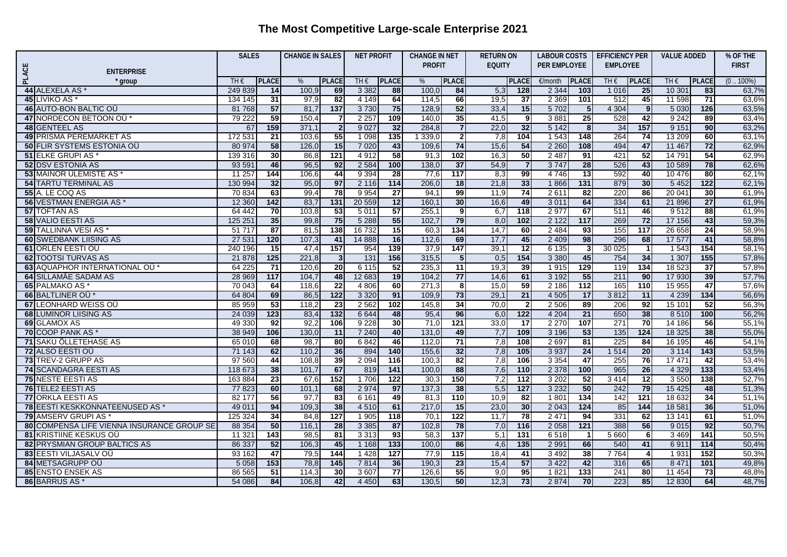## **The Most Competitive Large-scale Enterprise 2021**

|              |                                                 | <b>SALES</b>      |                        | <b>CHANGE IN SALES</b> |                      | <b>NET PROFIT</b> |                        | <b>CHANGE IN NET</b> |                                  | <b>RETURN ON</b> |                  | <b>LABOUR COSTS</b> |                       | <b>EFFICIENCY PER</b> |                         | <b>VALUE ADDED</b> |                       | % OF THE       |
|--------------|-------------------------------------------------|-------------------|------------------------|------------------------|----------------------|-------------------|------------------------|----------------------|----------------------------------|------------------|------------------|---------------------|-----------------------|-----------------------|-------------------------|--------------------|-----------------------|----------------|
|              |                                                 |                   |                        |                        |                      |                   |                        |                      | <b>PROFIT</b>                    |                  | <b>EQUITY</b>    |                     | <b>PER EMPLOYEE</b>   |                       | <b>EMPLOYEE</b>         |                    |                       | <b>FIRST</b>   |
| <b>PLACE</b> | <b>ENTERPRISE</b>                               |                   |                        |                        |                      |                   |                        |                      |                                  |                  |                  |                     |                       |                       |                         |                    |                       |                |
|              | group                                           | TH€               | <b>PLACE</b>           | %                      | <b>PLACE</b>         | TH $\epsilon$     | <b>PLACE</b>           | %                    | <b>PLACE</b>                     |                  | <b>PLACE</b>     | €/month             | <b>PLACE</b>          | TH $\epsilon$         | <b>PLACE</b>            | TH€                | <b>PLACE</b>          | $(0.100\%)$    |
|              | 44 ALEXELA AS *                                 | 249 839           | 14                     | 100.9                  | 69                   | 3 3 8 2           | 88                     | 100,0                | 84                               | 5,3              | 128              | 2 3 4 4             | 103                   | 1 0 1 6               | 25                      | 1030'              | 83                    | 63,7%          |
|              | 45 LIVIKO AS <sup>*</sup>                       | 134 145           | 31                     | 97,9                   | 82                   | 4 1 4 9           | 64<br>75               | 114,5                | 66<br>52                         | 19,5             | $\overline{37}$  | 2 3 6 9             | 101                   | 512                   | 45<br>$\overline{9}$    | 11 598             | $\overline{71}$       | 63,6%          |
|              | 46 AUTO-BON BALTIC OU<br>47 NORDECON BETOON OU* | 81 768            | 57<br>59               | 81,7<br>150,4          | 137                  | 3730<br>2 2 5 7   |                        | 128,9                |                                  | 33,4             | 15               | 5702                | 5 <sub>5</sub><br>25  | 4 3 0 4<br>528        | 42                      | 5 0 30<br>9 2 4 2  | 126                   | 63,5%          |
|              |                                                 | 79 222            |                        | 371,1                  | $\overline{7}$       |                   | 109<br>$\overline{32}$ | 140,0<br>284,8       | $\overline{35}$                  | 41,5             | 9<br>32          | 3881                |                       |                       | 157                     |                    | 89                    | 63,4%          |
|              | 48 GENTEEL AS<br><b>49 PRISMA PEREMARKET AS</b> | 67<br>172 531     | 159<br>$\overline{21}$ | 103.6                  | $\overline{2}$<br>55 | 9027<br>1 0 9 8   | 135                    | 1 339,0              | $\overline{7}$<br>$\overline{2}$ | 22,0<br>7,8      | 104              | 5142<br>1 5 4 3     | 8 <sup>1</sup><br>148 | 34<br>264             | $\overline{74}$         | 9151<br>13 20 9    | 90 <sub>1</sub><br>60 | 63,2%          |
|              | <b>50 FLIR SYSTEMS ESTONIA OÜ</b>               |                   | 58                     | 126,0                  | 15                   |                   |                        |                      | 74                               | 15,6             | 54               |                     |                       |                       | 47                      |                    |                       | 63,1%          |
|              | 51 ELKE GRUPI AS *                              | 80 974<br>139 316 | 30                     | 86,8                   | $\overline{121}$     | 7 0 20<br>4 9 1 2 | 43<br>58               | 109,6<br>91,3        | 102                              | 16,3             | 50               | 2 2 6 0<br>2 4 8 7  | 108<br>91             | 494<br>421            | $\overline{52}$         | 11 467<br>14 791   | 72<br>54              | 62,9%<br>62,9% |
|              |                                                 |                   |                        |                        |                      |                   |                        |                      |                                  |                  |                  |                     |                       |                       |                         |                    |                       |                |
|              | <b>52 DSV ESTONIA AS</b>                        | 93 591            | 46                     | 96,5                   | 92                   | 2 5 8 4           | 100                    | 138,0                | 37                               | 54,9             | $\overline{7}$   | 3747                | 28                    | 526                   | 43                      | 10 589             | 78                    | 62,6%          |
|              | <b>53 MAINOR ÜLEMISTE AS</b>                    | 11 257            | 144                    | 106,6                  | 44                   | 9 3 9 4           | $\overline{28}$        | 77,6                 | 117                              | 8,3              | 99               | 4746                | $\overline{13}$       | 592                   | 40                      | 10 476             | 80                    | 62,1%          |
|              | <b>54 TARTU TERMINAL AS</b>                     | 130 994           | 32                     | 95,0                   | 97                   | 2 1 1 6           | 114                    | 206, C               | 18                               | 21,8             | 33               | 1866                | 131                   | 879                   | 30                      | 5 4 5 2            | $122$                 | 62,1%          |
|              | 55 A. LE COQ AS                                 | 70 834            | 63                     | 99,4                   | 78                   | 9954              | 27                     | 94,1                 | 99                               | 11,9             | 74               | 2611                | 82                    | 220                   | 86                      | 2004'              | 30                    | 61,9%          |
|              | 56 VESTMAN ENERGIA AS *                         | 12 3 6 0          | $142$                  | 83,7                   | $131$                | 20 559            | 12                     | 160,1                | 30                               | 16,6             | 49               | 3 0 1 1             | 64                    | 334                   | 61                      | 21 896             | $\overline{27}$       | 61,9%          |
|              | <b>57 TOFTAN AS</b>                             | 64 442            | 70                     | 103,8                  | $\overline{53}$      | 5 0 1 1           | 57                     | 255,1                | 9                                | 6,7              | 118              | 2 9 7 7             | 67                    | 511                   | 46                      | 9512               | 88                    | 61,9%          |
|              | <b>58 VALIO EESTI AS</b>                        | 125 251           | 35                     | 99,8                   | 75                   | 5 2 8 8           | 55                     | 102.7                | 79                               | 8,0              | 102              | 2 1 2 2             | 117                   | 269                   | 72                      | 17 15 6            | 43                    | 59,3%          |
|              | 59 TALLINNA VESI AS *                           | 51 717            | 87                     | 81.5                   | 138                  | 16 732            | 15                     | 60,3                 | 134                              | 14,7             | 60               | 2 4 8 4             | 93                    | 155                   | 117                     | 26 658             | 24                    | 58,9%          |
|              | <b>60 SWEDBANK LIISING AS</b>                   | 27 531            | 120                    | 107,3                  | 41                   | 14 888            | 16                     | 112,6                | 69                               | 17,7             | 45               | 2 4 0 9             | 98                    | 296                   | 68                      | 17 577             | 41                    | 58,8%          |
|              | 61 ORLEN EESTI OÜ                               | 240 196           | 15                     | 47.4                   | 157                  | 954               | 139                    | 37,9                 | 147                              | 39,1             | $\overline{12}$  | 6 1 3 5             | $\mathbf{3}$          | 30 0 25               | $\overline{\mathbf{1}}$ | 1 5 4 3            | 154                   | 58,1%          |
|              | <b>62 TOOTSI TURVAS AS</b>                      | 21 878            | $125$                  | 221,8                  | $\mathbf{3}$         | $\overline{131}$  | 156                    | 315,5                | 5 <sub>5</sub>                   | $\overline{0,5}$ | 154              | 3 3 8 0             | 45                    | 754                   | 34                      | 1307               | $\overline{155}$      | 57,8%          |
|              | 63 AQUAPHOR INTERNATIONAL OU                    | 64 225            | 71                     | 120,6                  | 20                   | 6 1 1 5           | 52                     | 235,3                | 11                               | 19,3             | 39               | 1915                | 129                   | 119                   | 134                     | 18 5 23            | $\overline{37}$       | 57,8%          |
|              | 64 SILLAMÄE SADAM AS                            | 28 969            | $\frac{117}{117}$      | 104,7                  | 48                   | 12 683            | 19                     | 104.2                | $\overline{77}$                  | 14,6             | 61               | 3 1 9 2             | 55                    | 211                   | 90                      | 17 930             | 39                    | 57,7%          |
|              | 65 PALMAKO AS                                   | 70 043            | 64                     | 118,6                  | $\overline{22}$      | 4 8 0 6           | 60                     | 271,3                | 8                                | 15,0             | 59               | 2 18 6              | $\overline{112}$      | 165                   | 110                     | 15 955             | 47                    | 57,6%          |
|              | 66 BALTLINER OU*                                | 64 804            | 69                     | 86,5                   | $122$                | 3 3 2 0           | 91                     | 109,9                | 73                               | 29,1             | $\overline{21}$  | 4 5 0 5             | 17                    | 3812                  | $\overline{11}$         | 4 2 3 9            | 134                   | 56,6%          |
|              | 67 LEONHARD WEISS OU                            | 85 959            | $\overline{53}$        | 118,2                  | $\overline{23}$      | 2 5 6 2           | 102                    | 145,8                | $\overline{34}$                  | 70,0             | $\overline{2}$   | 2 50 6              | 89                    | 206                   | 92                      | 1510'              | 52                    | 56,3%          |
|              | <b>68 LUMINOR LIISING AS</b>                    | 24 0 39           | 123                    | 83,4                   | $132$                | 6 6 4 4           | 48                     | 95,4                 | 96                               | 6,0              | 122              | 4 2 0 4             | 21                    | 650                   | 38                      | 8 5 1 0            | 100                   | 56,2%          |
|              | 69 GLAMOX AS                                    | 49 330            | 92                     | 92,2                   | 106                  | 9 2 2 8           | 30                     | 71,0                 | $121$                            | 33,0             | $\overline{17}$  | 2 2 7 0             | 107                   | 271                   | 70                      | 14 18 6            | 56                    | 55,1%          |
|              | 70 COOP PANK AS *                               | 38 949            | 106                    | 130,0                  | 11                   | 7 240             | 40                     | 131,0                | 49                               | 7,7              | 109              | 3 1 9 6             | 53                    | 135                   | $124$                   | 18 3 25            | 38                    | 55,0%          |
|              | 71 SAKU ÕLLETEHASE AS                           | 65 010            | 68                     | 98.7                   | 80                   | 6842              | 46                     | 112,0                | $\overline{71}$                  | 7,8              | 108              | 2 6 9 7             | 81                    | 225                   | 84                      | 16 195             | 46                    | 54,1%          |
|              | 72 ALSO EESTI OÜ                                | 71 143            | 62                     | 110.2                  | 36                   | 894               | 140                    | 155,6                | 32                               | 7,8              | 105              | 3 9 3 7             | 24                    | 1514                  | 20                      | 3 1 1 4            | $\overline{143}$      | 53,5%          |
|              | 73 TREV-2 GRUPP AS                              | 97 560            | 44                     | 108.8                  | 39                   | 2 0 9 4           | 116                    | 100.3                | 82                               | 7,8              | 106              | 3 3 5 4             | 47                    | 255                   | 76                      | 1747'              | 42                    | 53,4%          |
|              | <b>74 SCANDAGRA EESTI AS</b>                    | 118 673           | 38                     | 101,7                  | 67                   | 819               | $\overline{141}$       | 100.0                | 88                               | $\overline{7,6}$ | 110              | 2 3 7 8             | 100                   | 965                   | 26                      | 4 3 2 9            | $\overline{133}$      | 53,4%          |
|              | <b>75 NESTE EESTI AS</b>                        | 163884            | 23                     | 67,6                   | 152                  | 1706              | 122                    | 30,3                 | 150                              | 7,2              | $\overline{112}$ | 3 2 0 2             | 52                    | 3 4 1 4               | 12                      | 3 5 5 0            | 138                   | 52,7%          |
|              | 76 TELE2 EESTI AS                               | 77823             | 60                     | 101.1                  | 68                   | 2 9 7 4           | 97                     | 137.3                | 38                               | 5,5              | $\overline{127}$ | 3 2 3 2             | 50                    | 242                   | 79                      | 15 4 25            | 48                    | 51,3%          |
|              | <b>77 ORKLA EESTI AS</b>                        | 82 177            | 56                     | 97,7                   | 83                   | 6 1 6 1           | 49                     | 81,3                 | 110                              | 10,9             | 82               | 1801                | 134                   | 142                   | $\overline{121}$        | 18 632             | 34                    | 51,1%          |
|              | 78 EESTI KESKKONNATEENUSED AS                   | 49 011            | 94                     | 109,3                  | 38                   | 4 5 1 0           | 61                     | 217,0                | 15                               | 23,0             | 30               | 2 0 4 3             | $124$                 | 85                    | 144                     | 18.58'             | 36                    | 51,0%          |
|              | 79 AMSERV GRUPI AS                              | 125 324           | 34                     | 84.8                   | 127                  | 1 9 0 5           | 118                    | 70.1                 | 122                              | 11,7             | 78               | 2 4 7 1             | 94                    | 331                   | 62                      | 13 14 1            | 61                    | 51,0%          |
|              | 80 COMPENSA LIFE VIENNA INSURANCE GROUP SE      | 88 354            | 50                     | 116,1                  | 28                   | 3 3 8 5           | 87                     | 102,8                | 78                               | 7,0              | 116              | 2 0 5 8             | 121                   | 388                   | 56                      | 9015               | 92                    | 50,7%          |
|              | <b>81 KRISTIINE KESKUS OÜ</b>                   | 11 321            | 143                    | 98.5                   | $\overline{81}$      | 3 3 1 3           | 93                     | 58,3                 | $\overline{137}$                 | 5,1              | 131              | 6518                | -1                    | 5 6 6 0               | 6                       | 3 4 6 9            | 141                   | 50,5%          |
|              | 82 PRYSMIAN GROUP BALTICS AS                    | 86 337            | 52                     | 106,3                  | 45                   | 1 1 6 8           | 133                    | 100, C               | 86                               | 4,6              | 135              | 2 9 9 1             | 66                    | 540                   | 41                      | 691'               | 114                   | 50,4%          |
|              | <b>83 EESTI VILJASALV OÜ</b>                    | 93 162            | $\overline{47}$        | 79,5                   | 144                  | 1 4 2 8           | 127                    | 77.9                 | $\overline{115}$                 | 18,4             | 41               | 3 4 9 2             | 38                    | 7764                  | $\overline{4}$          | 193'               | 152                   | 50,3%          |
|              | 84 METSAGRUPP OU                                | 5 0 5 8           | 153                    | 78,8                   | $145$                | 7814              | 36                     | 190,3                | $\overline{23}$                  | 15,4             | 57               | 3 4 2 2             | 42                    | 316                   | 65                      | 847'               | 101                   | 49,8%          |
|              | <b>85 ENSTO ENSEK AS</b>                        | 86 565            | 51                     | 114,3                  | 30                   | 3607              | 77                     | 126,6                | 55                               | 9,0              | 95               | 1821                | 133                   | 241                   | 80                      | 11 454             | 73                    | 48,8%          |
|              | 86 BARRUS AS <sup>*</sup>                       | 54 086            | 84                     | 106.8                  | 42                   | 4 4 5 0           | 63                     | 130.5                | 50                               | 12,3             | 73               | 2 8 7 4             | 70                    | 223                   | 85                      | 12 8 30            | 64                    | 48,7%          |
|              |                                                 |                   |                        |                        |                      |                   |                        |                      |                                  |                  |                  |                     |                       |                       |                         |                    |                       |                |